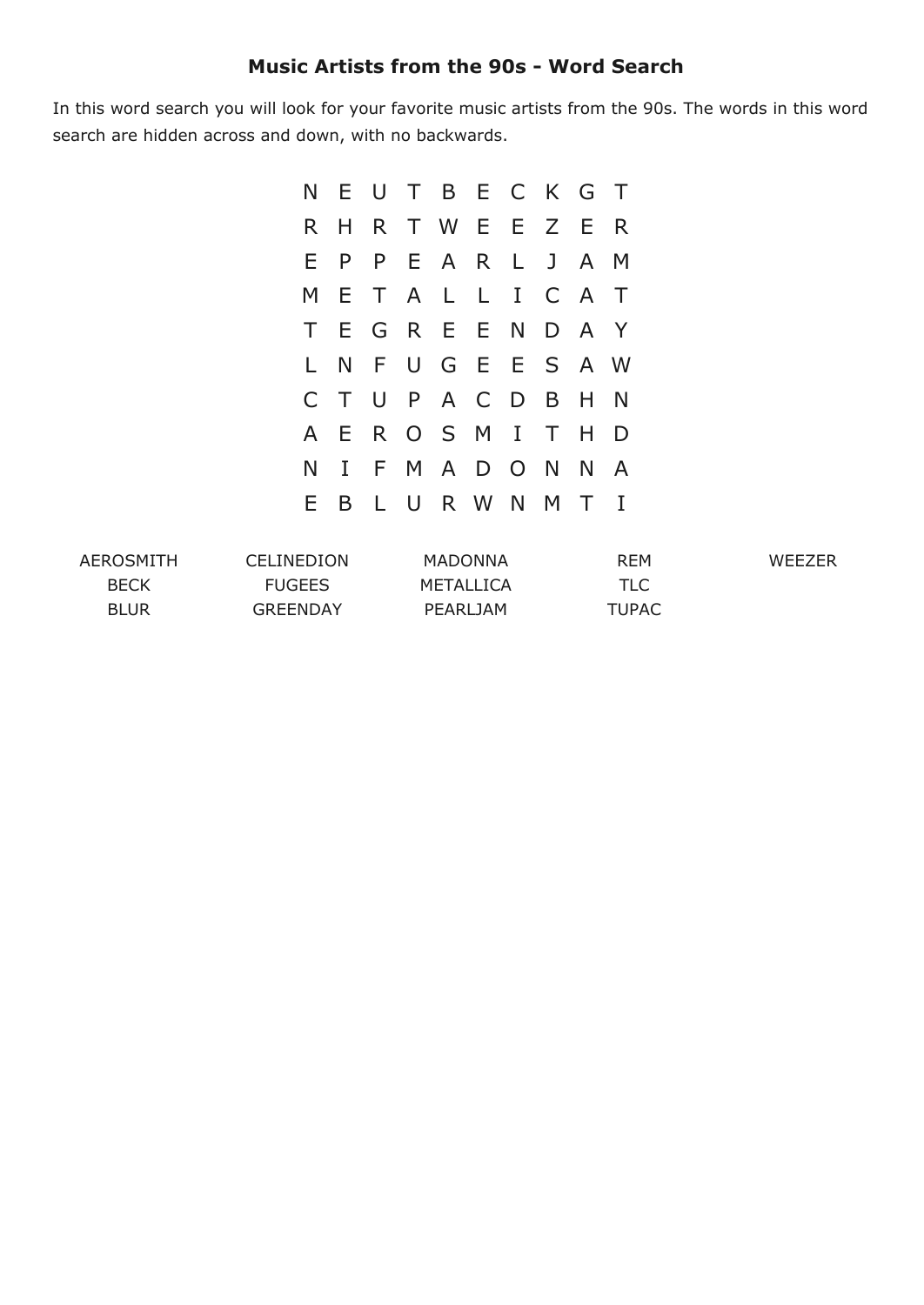## **Music Artists from the 90s Word Search**

In this word search you will look for your favorite music artists from the 90s. The words in this word search are hidden across and down, with no backwards.

|     |              |  | N E U T B E C K G T |  |              |                |
|-----|--------------|--|---------------------|--|--------------|----------------|
| R H |              |  | R T W E E Z E       |  |              | R              |
| E.  |              |  | P P E A R L J       |  | $\mathsf{A}$ | M              |
| M E |              |  | T A L L I C A       |  |              | $\top$         |
|     |              |  | T E G R E E N D A Y |  |              |                |
|     |              |  | L N F U G E E S A W |  |              |                |
|     |              |  | CTUPACDBH           |  |              | $\blacksquare$ |
|     |              |  | A E R O S M I T H   |  |              | D              |
| N.  | $\mathbf{I}$ |  | F M A D O N         |  | N            | A              |
|     |              |  | E B L U R W N M     |  | T            | $\mathbf{I}$   |

| AEROSMITH   | <b>CELINEDION</b> | MADONNA   | <b>REM</b>   | WFF7FR |
|-------------|-------------------|-----------|--------------|--------|
| <b>BECK</b> | FUGEES            | METALLICA | <b>TLC</b>   |        |
| <b>BLUR</b> | <b>GREENDAY</b>   | PEARLIAM  | <b>TUPAC</b> |        |